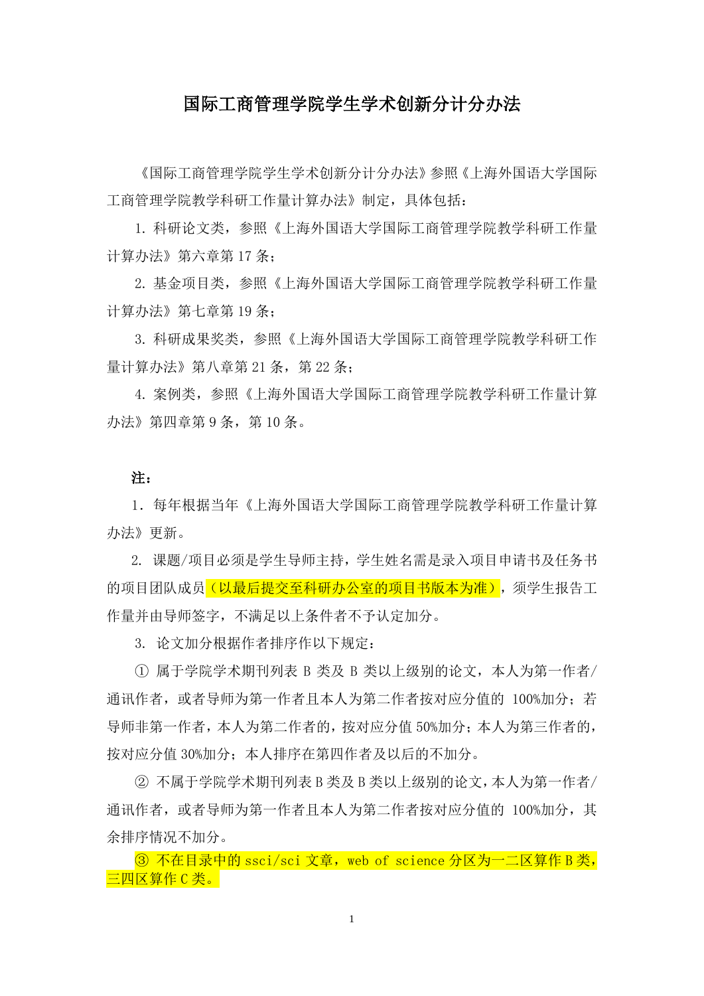# 国际工商管理学院学生学术创新分计分办法

《国际工商管理学院学生学术创新分计分办法》参照《上海外国语大学国际 工商管理学院教学科研工作量计算办法》制定,具体包括:

1. 科研论文类,参照《上海外国语大学国际工商管理学院教学科研工作量 计算办法》第六章第 17 条;

2. 基金项目类,参照《上海外国语大学国际工商管理学院教学科研工作量 计算办法》第七章第 19 条;

3. 科研成果奖类,参照《上海外国语大学国际工商管理学院教学科研工作 量计算办法》第八章第 21 条, 第 22 条;

4. 案例类,参照《上海外国语大学国际工商管理学院教学科研工作量计算 办法》第四章第9条,第10条。

#### 注:

1.每年根据当年《上海外国语大学国际工商管理学院教学科研工作量计算 办法》更新。

2. 课题/项目必须是学生导师主持,学生姓名需是录入项目申请书及任务书 的项目团队成员(以最后提交至科研办公室的项目书版本为准),须学生报告工 作量并由导师签字,不满足以上条件者不予认定加分。

3. 论文加分根据作者排序作以下规定:

① 属于学院学术期刊列表 B 类及 B 类以上级别的论文,本人为第一作者/ 通讯作者, 或者导师为第一作者且本人为第二作者按对应分值的 100%加分; 若 导师非第一作者,本人为第二作者的,按对应分值 50%加分;本人为第三作者的, 按对应分值 30%加分;本人排序在第四作者及以后的不加分。

② 不属于学院学术期刊列表 B 类及 B 类以上级别的论文,本人为第一作者/ 通讯作者, 或者导师为第一作者且本人为第二作者按对应分值的 100%加分, 其 余排序情况不加分。

③ 不在目录中的 ssci/sci 文章,web of science 分区为一二区算作 B 类, 三四区算作 C 类。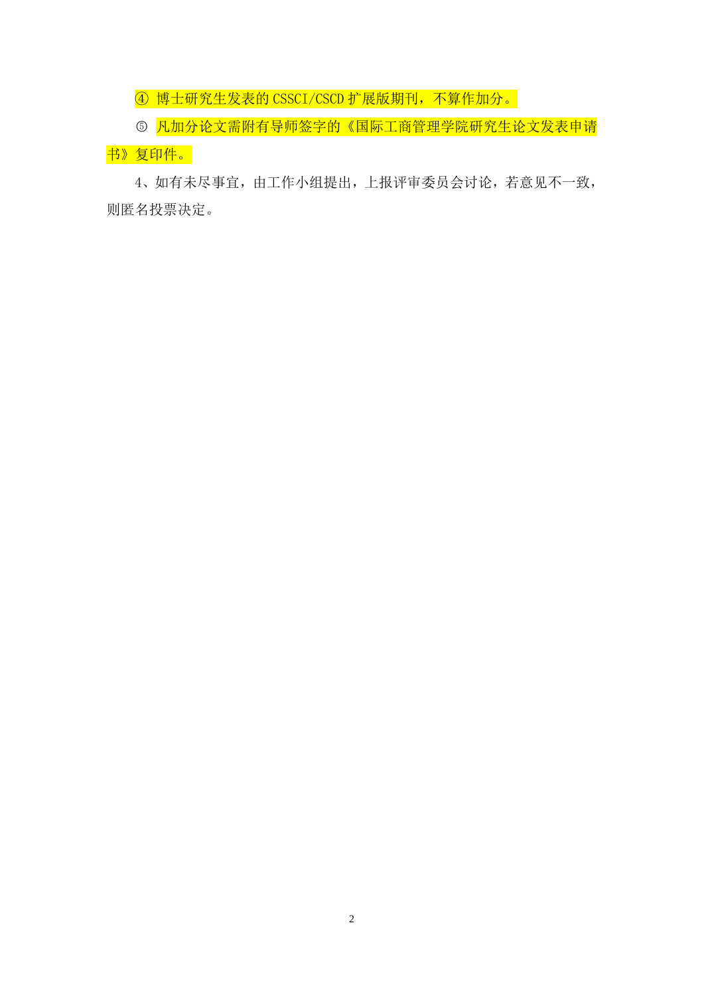④ 博士研究生发表的 CSSCI/CSCD 扩展版期刊,不算作加分。

5 凡加分论文需附有导师签字的《国际工商管理学院研究生论文发表申请 书》复印件。

4、如有未尽事宜,由工作小组提出,上报评审委员会讨论,若意见不一致, 则匿名投票决定。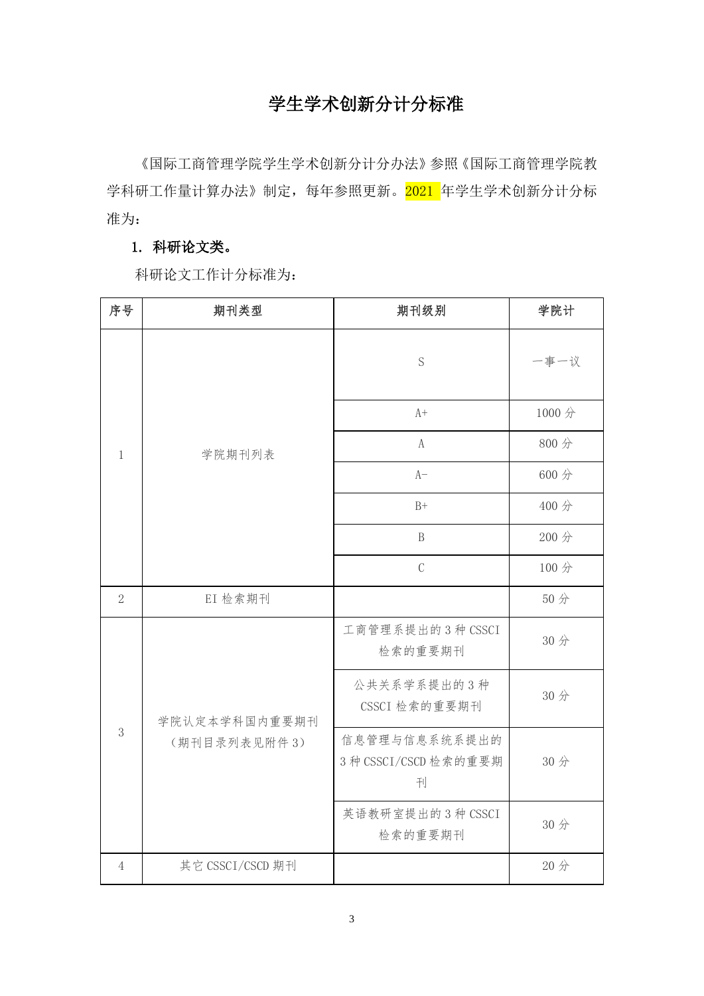# 学生学术创新分计分标准

《国际工商管理学院学生学术创新分计分办法》参照《国际工商管理学院教 学科研工作量计算办法》制定,每年参照更新。2021 年学生学术创新分计分标 准为:

# 1. 科研论文类。

科研论文工作计分标准为:

| 序号             | 期刊类型                          | 期刊级别                                        | 学院计   |
|----------------|-------------------------------|---------------------------------------------|-------|
| $\mathbf{1}$   | 学院期刊列表                        | S                                           | 一事一议  |
|                |                               | $A+$                                        | 1000分 |
|                |                               | $\mathbf{A}$                                | 800分  |
|                |                               | $A-$                                        | 600 分 |
|                |                               | $B+$                                        | 400分  |
|                |                               | $\mathbf{B}$                                | 200 分 |
|                |                               | $\mathcal{C}$                               | 100分  |
| $\overline{2}$ | EI 检索期刊                       |                                             | 50分   |
| 3              | 学院认定本学科国内重要期刊<br>(期刊目录列表见附件3) | 工商管理系提出的3种 CSSCI<br>检索的重要期刊                 | 30分   |
|                |                               | 公共关系学系提出的3种<br>CSSCI 检索的重要期刊                | 30分   |
|                |                               | 信息管理与信息系统系提出的<br>3 种 CSSCI/CSCD 检索的重要期<br>刊 | 30分   |
|                |                               | 英语教研室提出的3种 CSSCI<br>检索的重要期刊                 | 30分   |
| $\overline{4}$ | 其它 CSSCI/CSCD 期刊              |                                             | 20分   |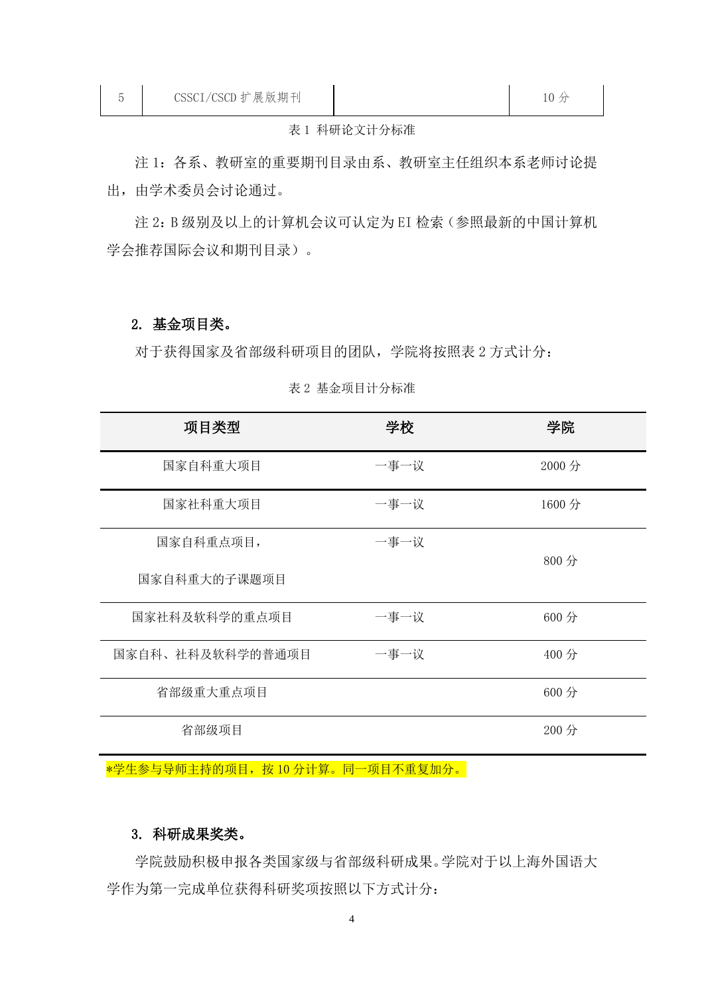#### 表 1 科研论文计分标准

 注 1:各系、教研室的重要期刊目录由系、教研室主任组织本系老师讨论提 出,由学术委员会讨论通过。

注 2:B 级别及以上的计算机会议可认定为 EI 检索(参照最新的中国计算机 学会推荐国际会议和期刊目录)。

#### 2. 基金项目类。

对于获得国家及省部级科研项目的团队,学院将按照表 2 方式计分:

| 项目类型             | 学校   | 学院     |
|------------------|------|--------|
| 国家自科重大项目         | 一事一议 | 2000 分 |
| 国家社科重大项目         | 一事一议 | 1600 分 |
| 国家自科重点项目,        | 一事一议 | 800 分  |
| 国家自科重大的子课题项目     |      |        |
| 国家社科及软科学的重点项目    | 一事一议 | 600 分  |
| 国家自科、社科及软科学的普通项目 | 一事一议 | 400 分  |
| 省部级重大重点项目        |      | 600 分  |
| 省部级项目            |      | 200 分  |

#### 表 2 基金项目计分标准

\*学生参与导师主持的项目, 按 10 分计算。同一项目不重复加分。

## 3. 科研成果奖类。

学院鼓励积极申报各类国家级与省部级科研成果。学院对于以上海外国语大 学作为第一完成单位获得科研奖项按照以下方式计分: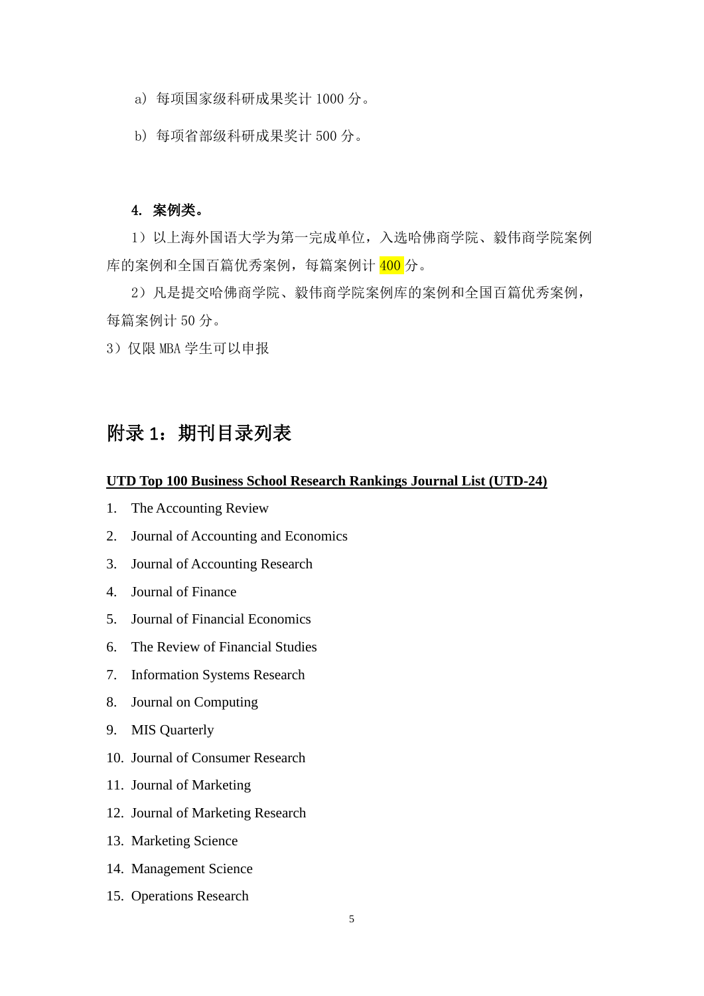- a) 每项国家级科研成果奖计 1000 分。
- b) 每项省部级科研成果奖计 500 分。

## 4. 案例类。

1) 以上海外国语大学为第一完成单位,入选哈佛商学院、毅伟商学院案例 库的案例和全国百篇优秀案例,每篇案例计 400 分。

2)凡是提交哈佛商学院、毅伟商学院案例库的案例和全国百篇优秀案例, 每篇案例计 50 分。

3)仅限 MBA 学生可以申报

# 附录 1:期刊目录列表

#### **UTD Top 100 Business School Research Rankings Journal List (UTD-24)**

- 1. The Accounting Review
- 2. Journal of Accounting and Economics
- 3. Journal of Accounting Research
- 4. Journal of Finance
- 5. Journal of Financial Economics
- 6. The Review of Financial Studies
- 7. Information Systems Research
- 8. Journal on Computing
- 9. MIS Quarterly
- 10. Journal of Consumer Research
- 11. Journal of Marketing
- 12. Journal of Marketing Research
- 13. Marketing Science
- 14. Management Science
- 15. Operations Research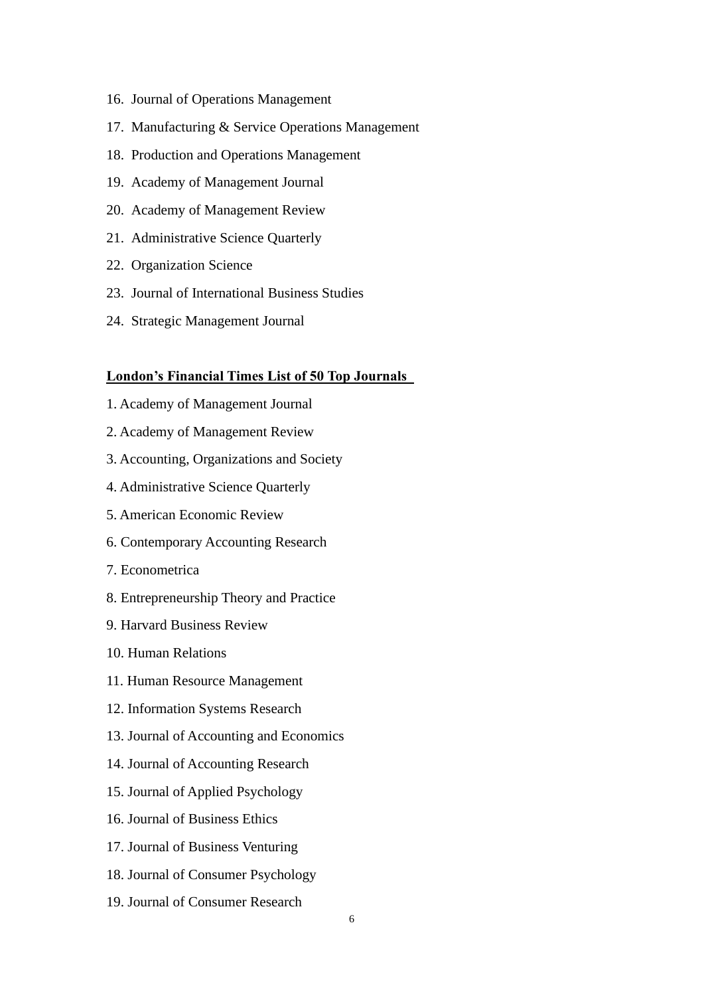- 16. Journal of Operations Management
- 17. Manufacturing & Service Operations Management
- 18. Production and Operations Management
- 19. Academy of Management Journal
- 20. Academy of Management Review
- 21. Administrative Science Quarterly
- 22. Organization Science
- 23. Journal of International Business Studies
- 24. Strategic Management Journal

#### **London's Financial Times List of 50 Top Journals**

- 1. Academy of Management Journal
- 2. Academy of Management Review
- 3. Accounting, Organizations and Society
- 4. Administrative Science Quarterly
- 5. American Economic Review
- 6. Contemporary Accounting Research
- 7. Econometrica
- 8. Entrepreneurship Theory and Practice
- 9. Harvard Business Review
- 10. Human Relations
- 11. Human Resource Management
- 12. Information Systems Research
- 13. Journal of Accounting and Economics
- 14. Journal of Accounting Research
- 15. Journal of Applied Psychology
- 16. Journal of Business Ethics
- 17. Journal of Business Venturing
- 18. Journal of Consumer Psychology
- 19. Journal of Consumer Research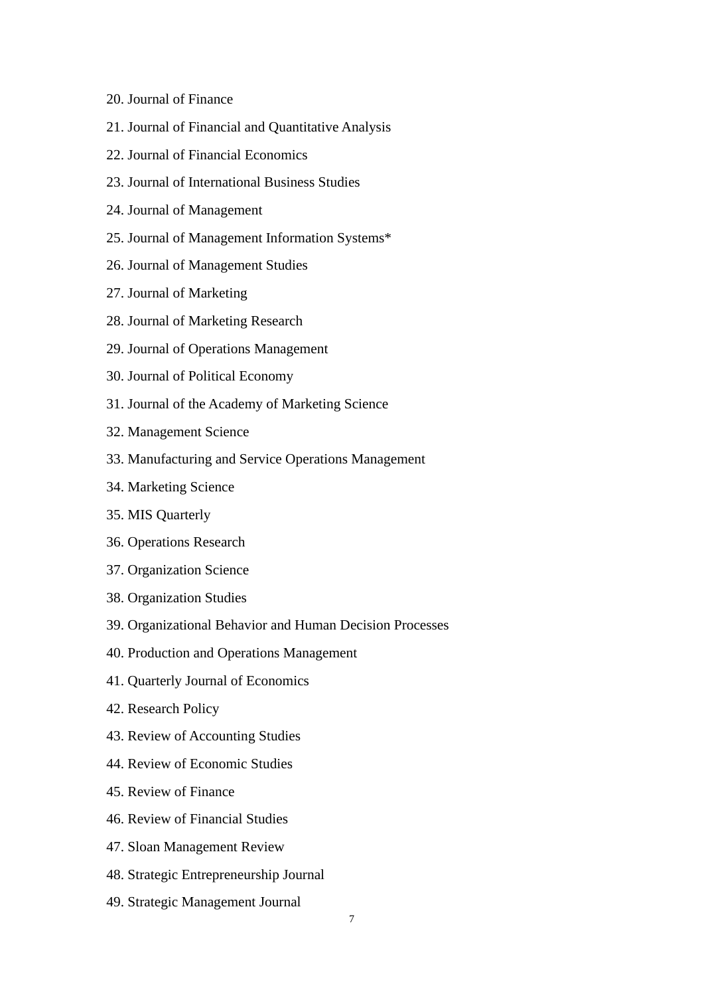- 20. Journal of Finance
- 21. Journal of Financial and Quantitative Analysis
- 22. Journal of Financial Economics
- 23. Journal of International Business Studies
- 24. Journal of Management
- 25. Journal of Management Information Systems\*
- 26. Journal of Management Studies
- 27. Journal of Marketing
- 28. Journal of Marketing Research
- 29. Journal of Operations Management
- 30. Journal of Political Economy
- 31. Journal of the Academy of Marketing Science
- 32. Management Science
- 33. Manufacturing and Service Operations Management
- 34. Marketing Science
- 35. MIS Quarterly
- 36. Operations Research
- 37. Organization Science
- 38. Organization Studies
- 39. Organizational Behavior and Human Decision Processes
- 40. Production and Operations Management
- 41. Quarterly Journal of Economics
- 42. Research Policy
- 43. Review of Accounting Studies
- 44. Review of Economic Studies
- 45. Review of Finance
- 46. Review of Financial Studies
- 47. Sloan Management Review
- 48. Strategic Entrepreneurship Journal
- 49. Strategic Management Journal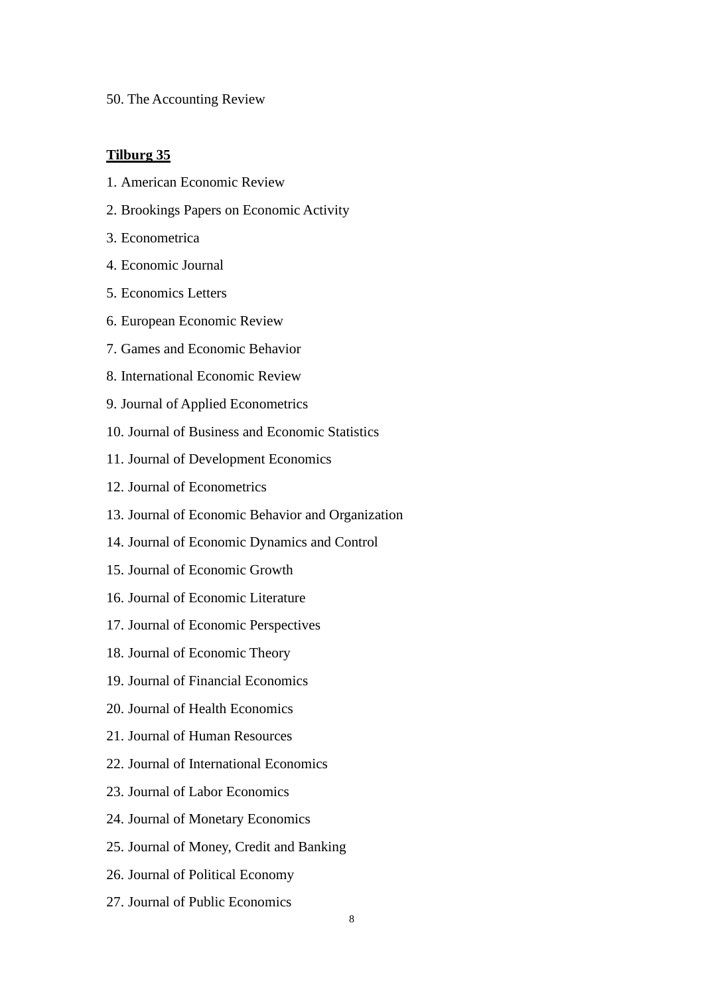50. The Accounting Review

## **Tilburg 35**

- 1. American Economic Review
- 2. Brookings Papers on Economic Activity
- 3. Econometrica
- 4. Economic Journal
- 5. Economics Letters
- 6. European Economic Review
- 7. Games and Economic Behavior
- 8. International Economic Review
- 9. Journal of Applied Econometrics
- 10. Journal of Business and Economic Statistics
- 11. Journal of Development Economics
- 12. Journal of Econometrics
- 13. Journal of Economic Behavior and Organization
- 14. Journal of Economic Dynamics and Control
- 15. Journal of Economic Growth
- 16. Journal of Economic Literature
- 17. Journal of Economic Perspectives
- 18. Journal of Economic Theory
- 19. Journal of Financial Economics
- 20. Journal of Health Economics
- 21. Journal of Human Resources
- 22. Journal of International Economics
- 23. Journal of Labor Economics
- 24. Journal of Monetary Economics
- 25. Journal of Money, Credit and Banking
- 26. Journal of Political Economy
- 27. Journal of Public Economics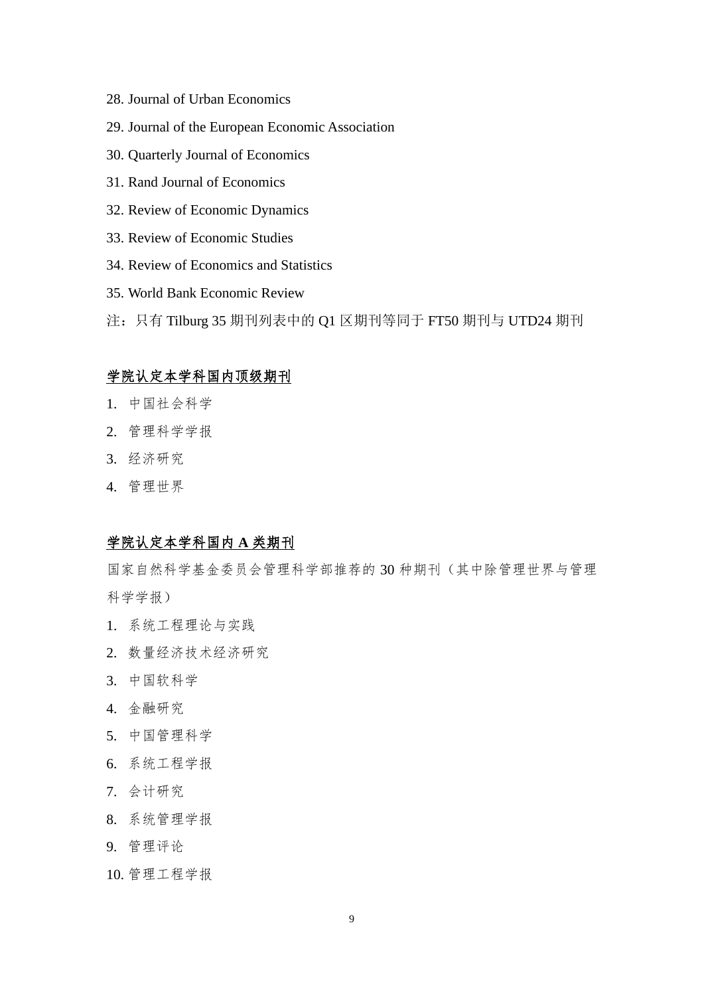- 28. Journal of Urban Economics
- 29. Journal of the European Economic Association
- 30. Quarterly Journal of Economics
- 31. Rand Journal of Economics
- 32. Review of Economic Dynamics
- 33. Review of Economic Studies
- 34. Review of Economics and Statistics
- 35. World Bank Economic Review
- 注:只有 Tilburg 35 期刊列表中的 Q1 区期刊等同于 FT50 期刊与 UTD24 期刊

## 学院认定本学科国内顶级期刊

- 1. 中国社会科学
- 2. 管理科学学报
- 3. 经济研究
- 4. 管理世界

## 学院认定本学科国内 **A** 类期刊

国家自然科学基金委员会管理科学部推荐的 30 种期刊(其中除管理世界与管理 科学学报)

- 1. 系统工程理论与实践
- 2. 数量经济技术经济研究
- 3. 中国软科学
- 4. 金融研究
- 5. 中国管理科学
- 6. 系统工程学报
- 7. 会计研究
- 8. 系统管理学报
- 9. 管理评论
- 10. 管理工程学报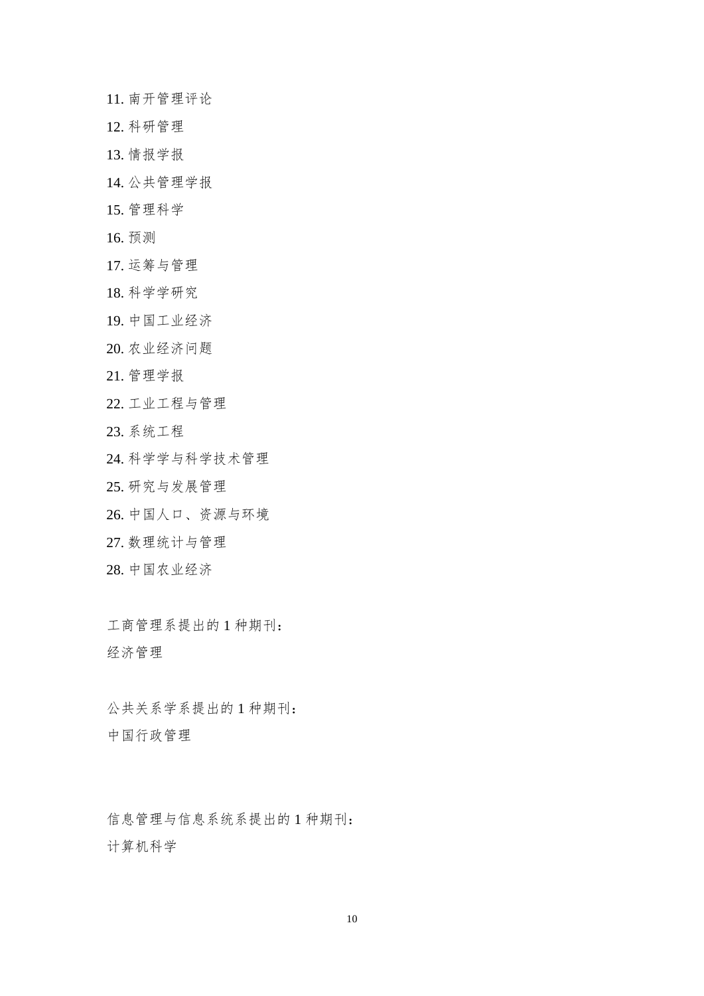11. 南开管理评论

- 12. 科研管理
- 13. 情报学报
- 14. 公共管理学报
- 15. 管理科学
- 16. 预测
- 17. 运筹与管理
- 18. 科学学研究
- 19. 中国工业经济
- 20. 农业经济问题
- 21. 管理学报
- 22. 工业工程与管理
- 23. 系统工程
- 24. 科学学与科学技术管理
- 25. 研究与发展管理
- 26. 中国人口、资源与环境
- 27. 数理统计与管理
- 28. 中国农业经济

工商管理系提出的 1 种期刊: 经济管理

公共关系学系提出的 1 种期刊: 中国行政管理

信息管理与信息系统系提出的 1 种期刊: 计算机科学